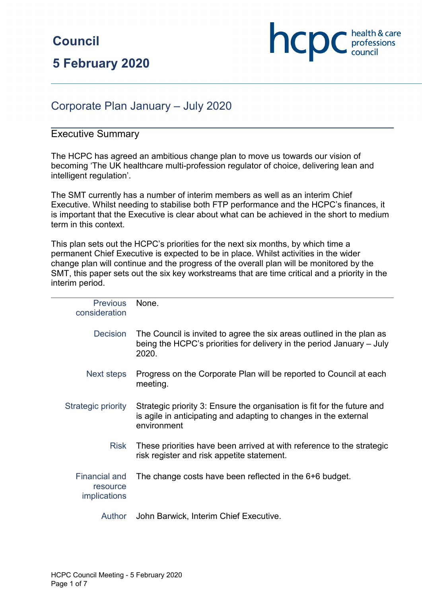

# Corporate Plan January – July 2020

#### Executive Summary

The HCPC has agreed an ambitious change plan to move us towards our vision of becoming 'The UK healthcare multi-profession regulator of choice, delivering lean and intelligent regulation'.

The SMT currently has a number of interim members as well as an interim Chief Executive. Whilst needing to stabilise both FTP performance and the HCPC's finances, it is important that the Executive is clear about what can be achieved in the short to medium term in this context.

This plan sets out the HCPC's priorities for the next six months, by which time a permanent Chief Executive is expected to be in place. Whilst activities in the wider change plan will continue and the progress of the overall plan will be monitored by the SMT, this paper sets out the six key workstreams that are time critical and a priority in the interim period.

| <b>Previous</b><br>consideration                 | None.                                                                                                                                                      |
|--------------------------------------------------|------------------------------------------------------------------------------------------------------------------------------------------------------------|
| <b>Decision</b>                                  | The Council is invited to agree the six areas outlined in the plan as<br>being the HCPC's priorities for delivery in the period January - July<br>2020.    |
| Next steps                                       | Progress on the Corporate Plan will be reported to Council at each<br>meeting.                                                                             |
| Strategic priority                               | Strategic priority 3: Ensure the organisation is fit for the future and<br>is agile in anticipating and adapting to changes in the external<br>environment |
| <b>Risk</b>                                      | These priorities have been arrived at with reference to the strategic<br>risk register and risk appetite statement.                                        |
| <b>Financial and</b><br>resource<br>implications | The change costs have been reflected in the 6+6 budget.                                                                                                    |
| $A$ uthor                                        | John Ranwick, Interim Chief Executive                                                                                                                      |

Author John Barwick, Interim Chief Executive.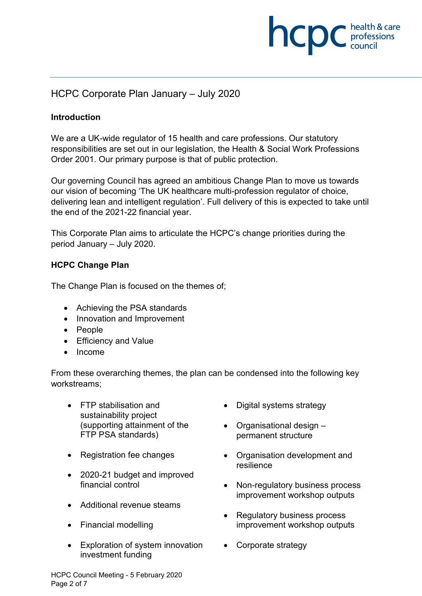# **NCDC** health & care

# HCPC Corporate Plan January – July 2020

#### **Introduction**

We are a UK-wide regulator of 15 health and care professions. Our statutory responsibilities are set out in our legislation, the Health & Social Work Professions Order 2001. Our primary purpose is that of public protection.

Our governing Council has agreed an ambitious Change Plan to move us towards our vision of becoming 'The UK healthcare multi-profession regulator of choice, delivering lean and intelligent regulation'. Full delivery of this is expected to take until the end of the 2021-22 financial year.

This Corporate Plan aims to articulate the HCPC's change priorities during the period January – July 2020.

#### **HCPC Change Plan**

The Change Plan is focused on the themes of;

- Achieving the PSA standards
- Innovation and Improvement
- People
- Efficiency and Value
- Income

From these overarching themes, the plan can be condensed into the following key workstreams;

- FTP stabilisation and sustainability project (supporting attainment of the FTP PSA standards)
- Registration fee changes
- 2020-21 budget and improved financial control
- Additional revenue steams
- Financial modelling
- Exploration of system innovation investment funding
- Digital systems strategy
- Organisational design permanent structure
- Organisation development and resilience
- Non-regulatory business process improvement workshop outputs
- Regulatory business process improvement workshop outputs
- Corporate strategy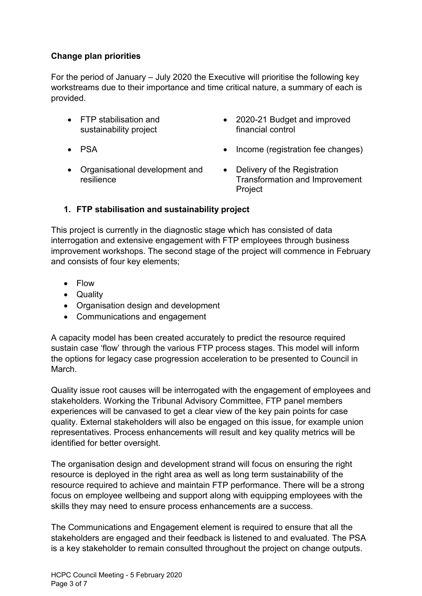### **Change plan priorities**

For the period of January – July 2020 the Executive will prioritise the following key workstreams due to their importance and time critical nature, a summary of each is provided.

- FTP stabilisation and sustainability project
- PSA
- 2020-21 Budget and improved financial control
- Income (registration fee changes)
- Organisational development and resilience
- Delivery of the Registration Transformation and Improvement Project

#### **1. FTP stabilisation and sustainability project**

This project is currently in the diagnostic stage which has consisted of data interrogation and extensive engagement with FTP employees through business improvement workshops. The second stage of the project will commence in February and consists of four key elements;

- Flow
- Quality
- Organisation design and development
- Communications and engagement

A capacity model has been created accurately to predict the resource required sustain case 'flow' through the various FTP process stages. This model will inform the options for legacy case progression acceleration to be presented to Council in March.

Quality issue root causes will be interrogated with the engagement of employees and stakeholders. Working the Tribunal Advisory Committee, FTP panel members experiences will be canvased to get a clear view of the key pain points for case quality. External stakeholders will also be engaged on this issue, for example union representatives. Process enhancements will result and key quality metrics will be identified for better oversight.

The organisation design and development strand will focus on ensuring the right resource is deployed in the right area as well as long term sustainability of the resource required to achieve and maintain FTP performance. There will be a strong focus on employee wellbeing and support along with equipping employees with the skills they may need to ensure process enhancements are a success.

The Communications and Engagement element is required to ensure that all the stakeholders are engaged and their feedback is listened to and evaluated. The PSA is a key stakeholder to remain consulted throughout the project on change outputs.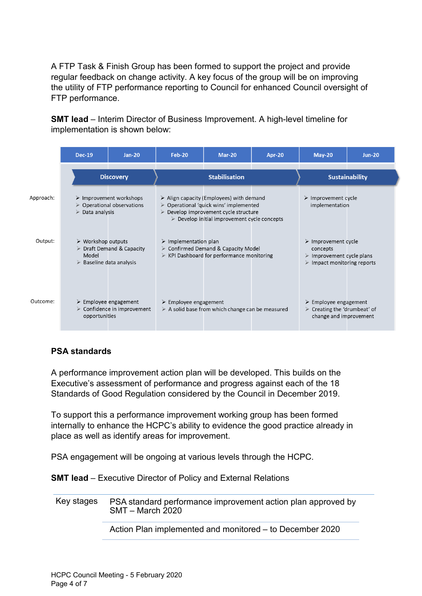A FTP Task & Finish Group has been formed to support the project and provide regular feedback on change activity. A key focus of the group will be on improving the utility of FTP performance reporting to Council for enhanced Council oversight of FTP performance.

**SMT lead** – Interim Director of Business Improvement. A high-level timeline for implementation is shown below:

|           | <b>Dec-19</b>                                                                         | <b>Jan-20</b>                                                                       | <b>Feb-20</b>                        | <b>Mar-20</b>                                                                                                                                                                                                                           | Apr-20 | $May-20$                                                                                                                                 | <b>Jun-20</b> |
|-----------|---------------------------------------------------------------------------------------|-------------------------------------------------------------------------------------|--------------------------------------|-----------------------------------------------------------------------------------------------------------------------------------------------------------------------------------------------------------------------------------------|--------|------------------------------------------------------------------------------------------------------------------------------------------|---------------|
|           | <b>Discovery</b>                                                                      |                                                                                     | <b>Stabilisation</b>                 |                                                                                                                                                                                                                                         |        | <b>Sustainability</b>                                                                                                                    |               |
| Approach: | $\triangleright$ Data analysis                                                        | $\triangleright$ Improvement workshops<br>$\triangleright$ Operational observations |                                      | $\triangleright$ Align capacity (Employees) with demand<br>$\triangleright$ Operational 'quick wins' implemented<br>$\triangleright$ Develop improvement cycle structure<br>$\triangleright$ Develop initial improvement cycle concepts |        | $\triangleright$ Improvement cycle<br>implementation                                                                                     |               |
| Output:   | $\triangleright$ Workshop outputs<br>Model<br>$\triangleright$ Baseline data analysis | $\triangleright$ Draft Demand & Capacity                                            | $\triangleright$ Implementation plan | $\triangleright$ Confirmed Demand & Capacity Model<br>$\triangleright$ KPI Dashboard for performance monitoring                                                                                                                         |        | $\triangleright$ Improvement cycle<br>concepts<br>$\triangleright$ Improvement cycle plans<br>$\triangleright$ Impact monitoring reports |               |
| Outcome:  | $\triangleright$ Employee engagement<br>opportunities                                 | $\triangleright$ Confidence in improvement                                          | $\triangleright$ Employee engagement | $\triangleright$ A solid base from which change can be measured                                                                                                                                                                         |        | $\triangleright$ Employee engagement<br>$\triangleright$ Creating the 'drumbeat' of<br>change and improvement                            |               |

## **PSA standards**

A performance improvement action plan will be developed. This builds on the Executive's assessment of performance and progress against each of the 18 Standards of Good Regulation considered by the Council in December 2019.

To support this a performance improvement working group has been formed internally to enhance the HCPC's ability to evidence the good practice already in place as well as identify areas for improvement.

PSA engagement will be ongoing at various levels through the HCPC.

**SMT lead** – Executive Director of Policy and External Relations

Key stages PSA standard performance improvement action plan approved by SMT – March 2020

Action Plan implemented and monitored – to December 2020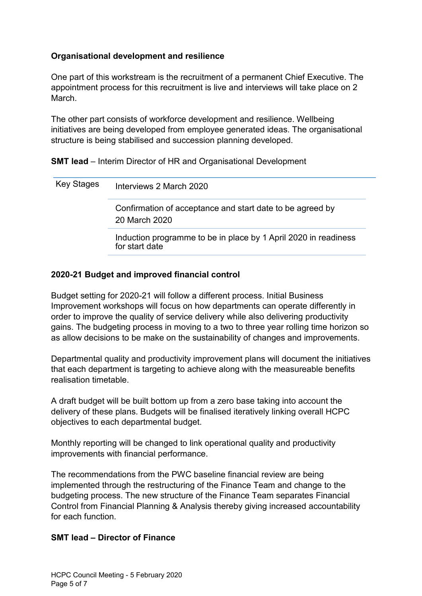#### **Organisational development and resilience**

One part of this workstream is the recruitment of a permanent Chief Executive. The appointment process for this recruitment is live and interviews will take place on 2 March.

The other part consists of workforce development and resilience. Wellbeing initiatives are being developed from employee generated ideas. The organisational structure is being stabilised and succession planning developed.

**SMT lead** – Interim Director of HR and Organisational Development

| Key Stages | Interviews 2 March 2020                                                           |
|------------|-----------------------------------------------------------------------------------|
|            | Confirmation of acceptance and start date to be agreed by<br>20 March 2020        |
|            | Induction programme to be in place by 1 April 2020 in readiness<br>for start date |

#### **2020-21 Budget and improved financial control**

Budget setting for 2020-21 will follow a different process. Initial Business Improvement workshops will focus on how departments can operate differently in order to improve the quality of service delivery while also delivering productivity gains. The budgeting process in moving to a two to three year rolling time horizon so as allow decisions to be make on the sustainability of changes and improvements.

Departmental quality and productivity improvement plans will document the initiatives that each department is targeting to achieve along with the measureable benefits realisation timetable.

A draft budget will be built bottom up from a zero base taking into account the delivery of these plans. Budgets will be finalised iteratively linking overall HCPC objectives to each departmental budget.

Monthly reporting will be changed to link operational quality and productivity improvements with financial performance.

The recommendations from the PWC baseline financial review are being implemented through the restructuring of the Finance Team and change to the budgeting process. The new structure of the Finance Team separates Financial Control from Financial Planning & Analysis thereby giving increased accountability for each function.

#### **SMT lead – Director of Finance**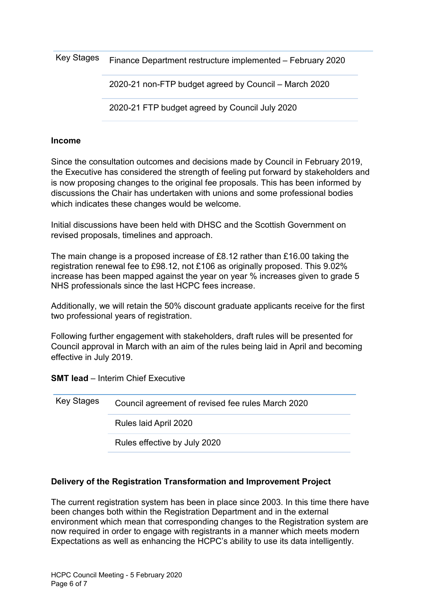Key Stages Finance Department restructure implemented – February 2020

2020-21 non-FTP budget agreed by Council – March 2020

2020-21 FTP budget agreed by Council July 2020

#### **Income**

Since the consultation outcomes and decisions made by Council in February 2019, the Executive has considered the strength of feeling put forward by stakeholders and is now proposing changes to the original fee proposals. This has been informed by discussions the Chair has undertaken with unions and some professional bodies which indicates these changes would be welcome.

Initial discussions have been held with DHSC and the Scottish Government on revised proposals, timelines and approach.

The main change is a proposed increase of £8.12 rather than £16.00 taking the registration renewal fee to £98.12, not £106 as originally proposed. This 9.02% increase has been mapped against the year on year % increases given to grade 5 NHS professionals since the last HCPC fees increase.

Additionally, we will retain the 50% discount graduate applicants receive for the first two professional years of registration.

Following further engagement with stakeholders, draft rules will be presented for Council approval in March with an aim of the rules being laid in April and becoming effective in July 2019.

**SMT lead** – Interim Chief Executive

| Key Stages | Council agreement of revised fee rules March 2020 |
|------------|---------------------------------------------------|
|            | Rules laid April 2020                             |
|            | Rules effective by July 2020                      |

#### **Delivery of the Registration Transformation and Improvement Project**

The current registration system has been in place since 2003. In this time there have been changes both within the Registration Department and in the external environment which mean that corresponding changes to the Registration system are now required in order to engage with registrants in a manner which meets modern Expectations as well as enhancing the HCPC's ability to use its data intelligently.